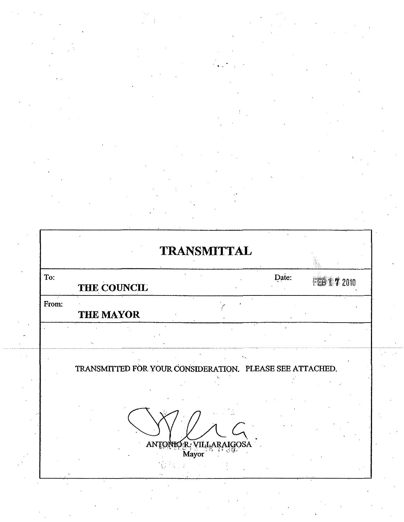ŋ

Į

|       | THE COUNCIL | Date: | 1 7 2010 |
|-------|-------------|-------|----------|
| from: | THE MAYOR   |       |          |
|       |             |       |          |

ANTONIO R. VILLARAIGOSA  $\hat{A}^{\dagger}_{\lambda} \hat{A}^{\dagger}_{\lambda}$  :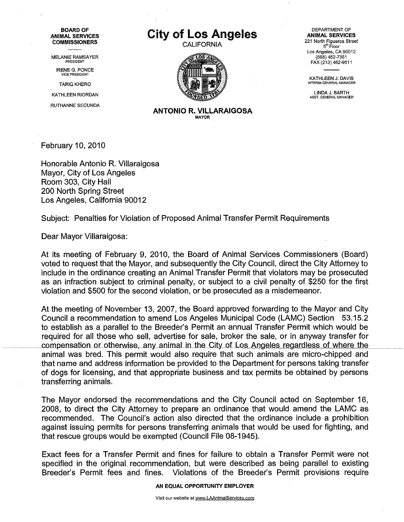BOARD OF ANIMAL SERVICES **COMMISSIONERS** 

MELANIE RAMSAYER

IRENE G. PONCE VICE PRESIDENT

TARIQ KHERO

KATHLEEN RIORDAN

RUTHANNE SECUNDA

## **City of Los Angeles**

CALIFORNIA



DEPARTMENT OF ANIMAL SERVICES 221 North Figueroa Street 5<sup>th</sup> Floor Los Angeles, CA 90012 (888) 452-7381 FAX (213) 482-9511

KATHLEEN J. DAVIS<br>Interim general manager

LINDA J. BARTH ASST. GENERAL MANAGER

ANTONIO R. VILLARAIGOSA **MAYOR** 

February 10, 2010

Honorable Antonio R. Villaraigosa Mayor, City of Los Angeles Room 303, City Hall 200 North Spring Street Los Angeles, California 90012

Subject: Penalties for Violation of Proposed Animal Transfer Permit Requirements

Dear Mayor Villaraigosa:

At its meeting of February 9, 2010, the Board of Animal Services Commissioners (Board) voted to request that the Mayor, and subsequently the City Council, direct the City Attorney to include in the ordinance creating an Animal Transfer Permit that violators may be prosecuted as an infraction subject to criminal penalty, or subject to a civil penalty of \$250 for the first violation and \$500 for the second violation, or be prosecuted as a misdemeanor.

At the meeting of November 13, 2007, the Board approved forwarding to the Mayor and City Council a recommendation to amend Los Angeles Municipal Code (LAMC) Section 53.15.2 to establish as a parallel to the Breeder's Permit an annual Transfer Permit which would be required for all those who sell, advertise for sale, broker the sale, or in anyway transfer for compensation or otherwise, any animal in the City of Los Angeles regardless of where the animal was bred. This permit would also require that such animals are micro-chipped and that name and address information be provided to the Department for persons taking transfer of dogs for licensing, and that appropriate business and tax permits be obtained by persons transferring animals.

The Mayor endorsed the recommendations and the City Council acted on September 16, 2008, to direct the City Attorney to prepare an ordinance that would amend the LAMC as recommended. The Council's action also directed that the ordinance include a prohibition against issuing permits for persons transferring animals that would be used for fighting, and that rescue groups would be exempted (Council File 08-1945).

Exact fees for a Transfer Permit and fines for failure to obtain a Transfer Permit were not specified in the original recommendation, but were described as being parallel to existing Breeder's Permit fees and fines. Violations of the Breeder's Permit provisions require

AN EQUAL OPPORTUNITY EMPLOYER